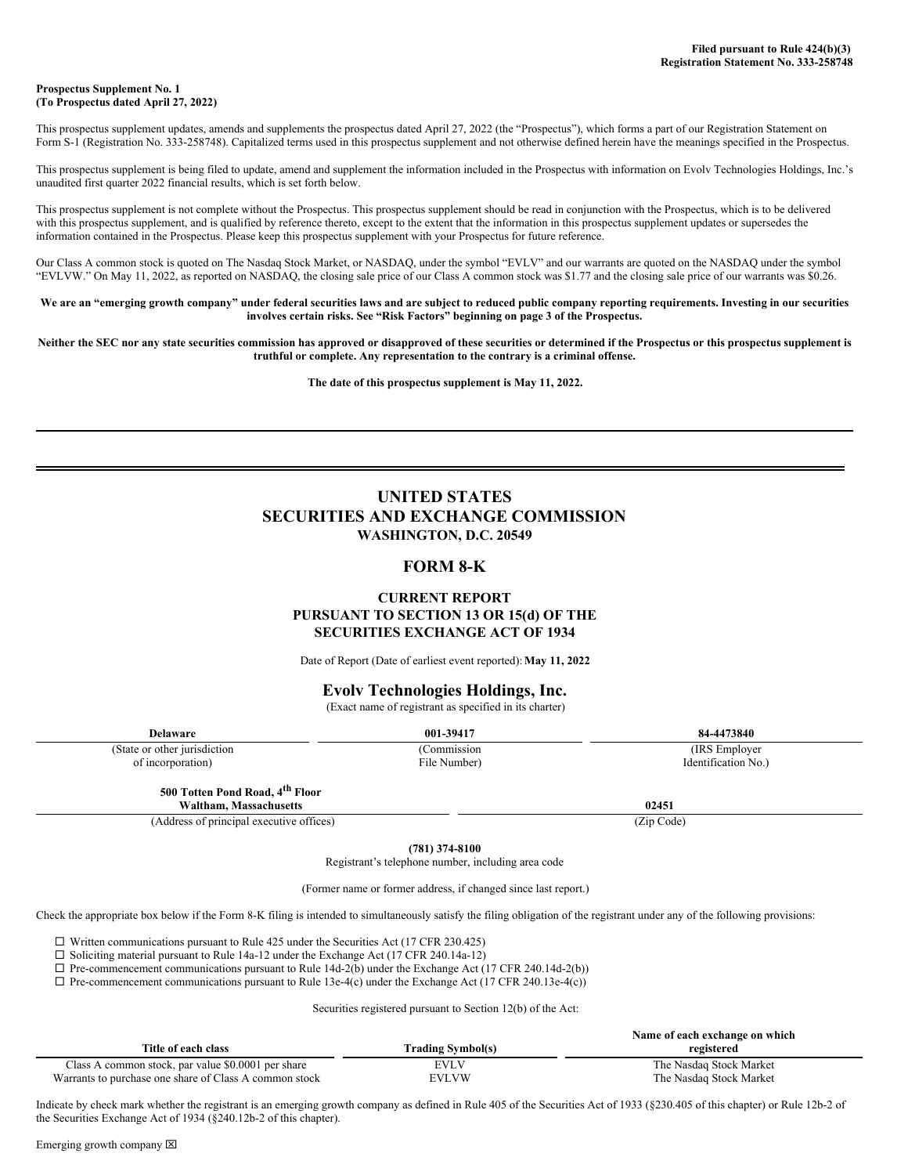### **Prospectus Supplement No. 1 (To Prospectus dated April 27, 2022)**

This prospectus supplement updates, amends and supplements the prospectus dated April 27, 2022 (the "Prospectus"), which forms a part of our Registration Statement on Form S-1 (Registration No. 333-258748). Capitalized terms used in this prospectus supplement and not otherwise defined herein have the meanings specified in the Prospectus.

This prospectus supplement is being filed to update, amend and supplement the information included in the Prospectus with information on Evolv Technologies Holdings, Inc.'s unaudited first quarter 2022 financial results, which is set forth below.

This prospectus supplement is not complete without the Prospectus. This prospectus supplement should be read in conjunction with the Prospectus, which is to be delivered with this prospectus supplement, and is qualified by reference thereto, except to the extent that the information in this prospectus supplement updates or supersedes the information contained in the Prospectus. Please keep this prospectus supplement with your Prospectus for future reference.

Our Class A common stock is quoted on The Nasdaq Stock Market, or NASDAQ, under the symbol "EVLV" and our warrants are quoted on the NASDAQ under the symbol "EVLVW." On May 11, 2022, as reported on NASDAQ, the closing sale price of our Class A common stock was \$1.77 and the closing sale price of our warrants was \$0.26.

We are an "emerging growth company" under federal securities laws and are subject to reduced public company reporting requirements. Investing in our securities **involves certain risks. See "Risk Factors" beginning on page 3 of the Prospectus.**

Neither the SEC nor any state securities commission has approved or disapproved of these securities or determined if the Prospectus or this prospectus supplement is **truthful or complete. Any representation to the contrary is a criminal offense.**

**The date of this prospectus supplement is May 11, 2022.**

# **UNITED STATES SECURITIES AND EXCHANGE COMMISSION WASHINGTON, D.C. 20549**

# **FORM 8-K**

# **CURRENT REPORT PURSUANT TO SECTION 13 OR 15(d) OF THE SECURITIES EXCHANGE ACT OF 1934**

Date of Report (Date of earliest event reported):**May 11, 2022**

# **Evolv Technologies Holdings, Inc.**

(Exact name of registrant as specified in its charter)

| <b>Delaware</b>                                                       | 001-39417    | 84-4473840          |
|-----------------------------------------------------------------------|--------------|---------------------|
| (State or other jurisdiction)                                         | (Commission  | (IRS Employer)      |
| of incorporation)                                                     | File Number) | Identification No.) |
| 500 Totten Pond Road, 4 <sup>th</sup> Floor<br>Waltham, Massachusetts |              | 02451               |

(Address of principal executive offices) (Zip Code)

**(781) 374-8100**

Registrant's telephone number, including area code

(Former name or former address, if changed since last report.)

Check the appropriate box below if the Form 8-K filing is intended to simultaneously satisfy the filing obligation of the registrant under any of the following provisions:

 $\square$  Written communications pursuant to Rule 425 under the Securities Act (17 CFR 230.425)

 $\square$  Soliciting material pursuant to Rule 14a-12 under the Exchange Act (17 CFR 240.14a-12)

 $\Box$  Pre-commencement communications pursuant to Rule 14d-2(b) under the Exchange Act (17 CFR 240.14d-2(b))

 $\Box$  Pre-commencement communications pursuant to Rule 13e-4(c) under the Exchange Act (17 CFR 240.13e-4(c))

Securities registered pursuant to Section 12(b) of the Act:

|                                                        |                   | Name of each exchange on which |
|--------------------------------------------------------|-------------------|--------------------------------|
| Title of each class                                    | Trading Symbol(s) | registered                     |
| Class A common stock, par value \$0,0001 per share     | <b>EVLV</b>       | The Nasdag Stock Market        |
| Warrants to purchase one share of Class A common stock | <b>EVLVW</b>      | The Nasdag Stock Market        |

Indicate by check mark whether the registrant is an emerging growth company as defined in Rule 405 of the Securities Act of 1933 (§230.405 of this chapter) or Rule 12b-2 of the Securities Exchange Act of 1934 (§240.12b-2 of this chapter).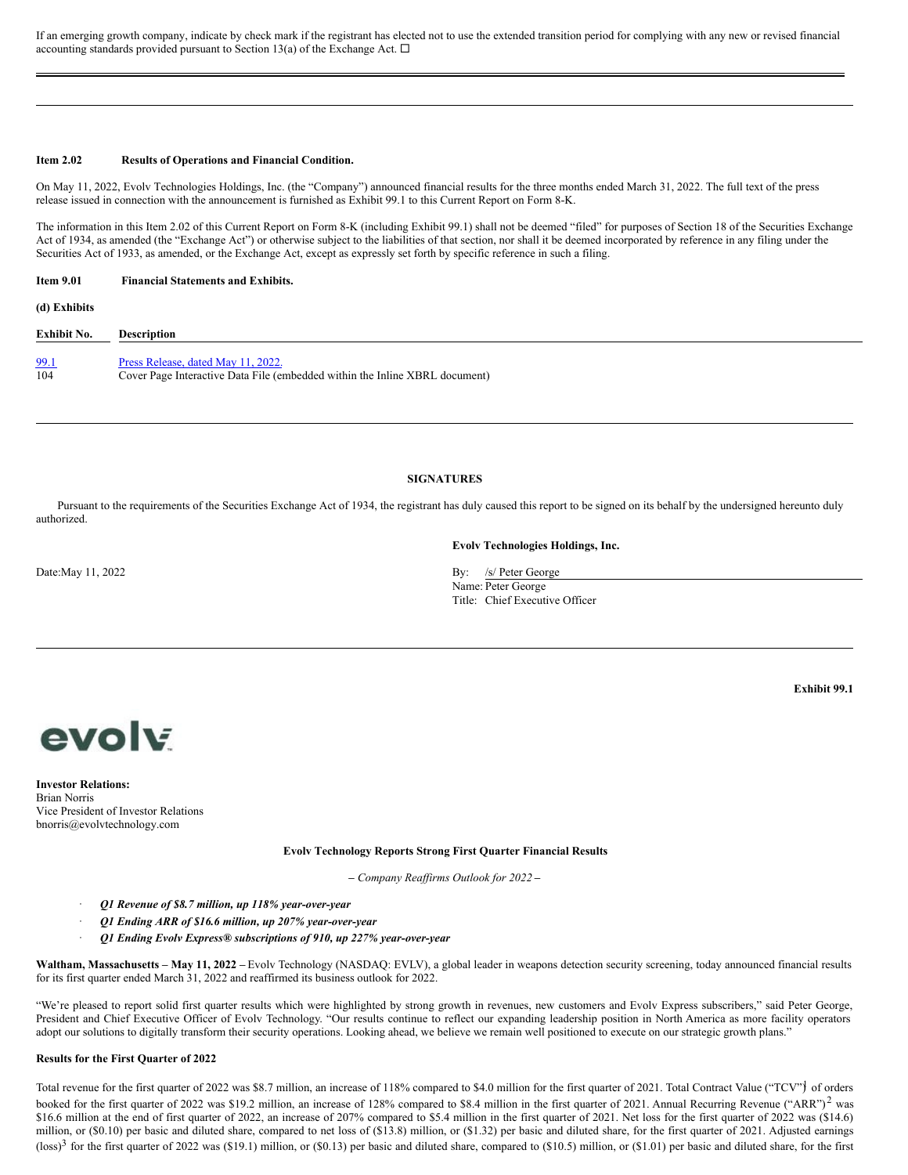If an emerging growth company, indicate by check mark if the registrant has elected not to use the extended transition period for complying with any new or revised financial accounting standards provided pursuant to Section 13(a) of the Exchange Act.  $\Box$ 

# **Item 2.02 Results of Operations and Financial Condition.**

On May 11, 2022, Evolv Technologies Holdings, Inc. (the "Company") announced financial results for the three months ended March 31, 2022. The full text of the press release issued in connection with the announcement is furnished as Exhibit 99.1 to this Current Report on Form 8-K.

The information in this Item 2.02 of this Current Report on Form 8-K (including Exhibit 99.1) shall not be deemed "filed" for purposes of Section 18 of the Securities Exchange Act of 1934, as amended (the "Exchange Act") or otherwise subject to the liabilities of that section, nor shall it be deemed incorporated by reference in any filing under the Securities Act of 1933, as amended, or the Exchange Act, except as expressly set forth by specific reference in such a filing.

#### **Item 9.01 Financial Statements and Exhibits.**

**(d) Exhibits**

| Exhibit No. | <b>Description</b>                                                          |
|-------------|-----------------------------------------------------------------------------|
| 99.1        | Press Release, dated May 11, 2022.                                          |
| 104         | Cover Page Interactive Data File (embedded within the Inline XBRL document) |

### **SIGNATURES**

Pursuant to the requirements of the Securities Exchange Act of 1934, the registrant has duly caused this report to be signed on its behalf by the undersigned hereunto duly authorized.

**Evolv Technologies Holdings, Inc.**

Date:May 11, 2022 By: /s/ Peter George Name: Peter George Title: Chief Executive Officer

<span id="page-1-0"></span>**Exhibit 99.1**



**Investor Relations:** Brian Norris Vice President of Investor Relations bnorris@evolvtechnology.com

**Evolv Technology Reports Strong First Quarter Financial Results**

**–** *Company Reaf irms Outlook for 2022* **–**

- · *Q1 Revenue of \$8.7 million, up 118% year-over-year*
- · *Q1 Ending ARR of \$16.6 million, up 207% year-over-year*
- · *Q1 Ending Evolv Express® subscriptions of 910, up 227% year-over-year*

**Waltham, Massachusetts – May 11, 2022 –** Evolv Technology (NASDAQ: EVLV), a global leader in weapons detection security screening, today announced financial results for its first quarter ended March 31, 2022 and reaffirmed its business outlook for 2022.

"We're pleased to report solid first quarter results which were highlighted by strong growth in revenues, new customers and Evolv Express subscribers," said Peter George, President and Chief Executive Officer of Evolv Technology. "Our results continue to reflect our expanding leadership position in North America as more facility operators adopt our solutions to digitally transform their security operations. Looking ahead, we believe we remain well positioned to execute on our strategic growth plans."

### **Results for the First Quarter of 2022**

Total revenue for the first quarter of 2022 was \$8.7 million, an increase of 118% compared to \$4.0 million for the first quarter of 2021. Total Contract Value ("TCV") of orders booked for the first quarter of 2022 was \$19.2 million, an increase of 128% compared to \$8.4 million in the first quarter of 2021. Annual Recurring Revenue ("ARR")<sup>2</sup> was \$16.6 million at the end of first quarter of 2022, an increase of 207% compared to \$5.4 million in the first quarter of 2021. Net loss for the first quarter of 2022 was (\$14.6) million, or (\$0.10) per basic and diluted share, compared to net loss of (\$13.8) million, or (\$1.32) per basic and diluted share, for the first quarter of 2021. Adjusted earnings (loss)<sup>3</sup> for the first quarter of 2022 was (\$19.1) million, or (\$0.13) per basic and diluted share, compared to (\$10.5) million, or (\$1.01) per basic and diluted share, for the first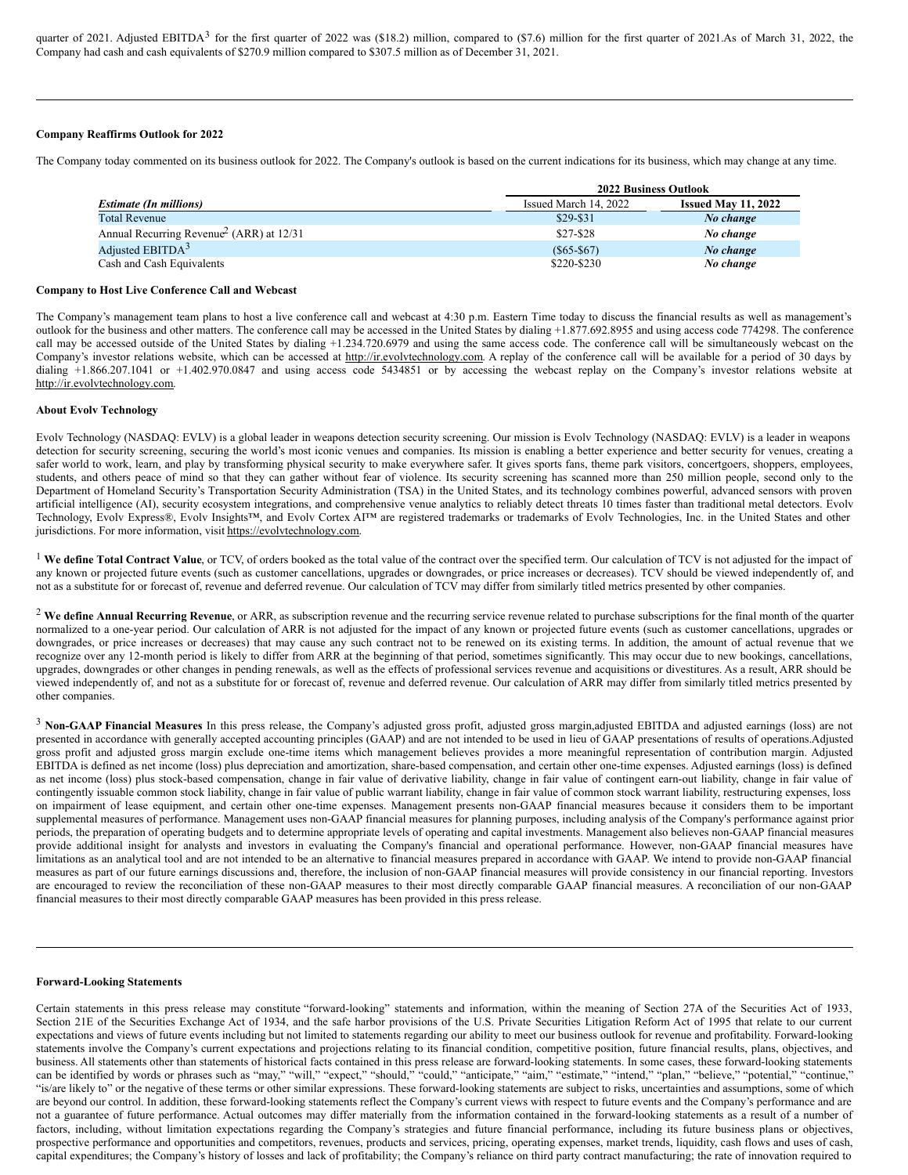quarter of 2021. Adjusted EBITDA<sup>3</sup> for the first quarter of 2022 was (\$18.2) million, compared to (\$7.6) million for the first quarter of 2021.As of March 31, 2022, the Company had cash and cash equivalents of \$270.9 million compared to \$307.5 million as of December 31, 2021.

### **Company Reaffirms Outlook for 2022**

The Company today commented on its business outlook for 2022. The Company's outlook is based on the current indications for its business, which may change at any time.

|                                                      | <b>2022 Business Outlook</b> |                            |  |  |
|------------------------------------------------------|------------------------------|----------------------------|--|--|
| <i>Estimate (In millions)</i>                        | Issued March 14, 2022        | <b>Issued May 11, 2022</b> |  |  |
| <b>Total Revenue</b>                                 | $$29-$31$                    | No change                  |  |  |
| Annual Recurring Revenue <sup>2</sup> (ARR) at 12/31 | $$27-$28$                    | No change                  |  |  |
| Adjusted EBITD $A3$                                  | $(S65 - S67)$                | No change                  |  |  |
| Cash and Cash Equivalents                            | \$220-\$230                  | No change                  |  |  |

#### **Company to Host Live Conference Call and Webcast**

The Company's management team plans to host a live conference call and webcast at 4:30 p.m. Eastern Time today to discuss the financial results as well as management's outlook for the business and other matters. The conference call may be accessed in the United States by dialing +1.877.692.8955 and using access code 774298. The conference call may be accessed outside of the United States by dialing +1.234.720.6979 and using the same access code. The conference call will be simultaneously webcast on the Company's investor relations website, which can be accessed at http://ir.evolvtechnology.com. A replay of the conference call will be available for a period of 30 days by dialing +1.866.207.1041 or +1.402.970.0847 and using access code 5434851 or by accessing the webcast replay on the Company's investor relations website at http://ir.evolvtechnology.com.

### **About Evolv Technology**

Evolv Technology (NASDAQ: EVLV) is a global leader in weapons detection security screening. Our mission is Evolv Technology (NASDAQ: EVLV) is a leader in weapons detection for security screening, securing the world's most iconic venues and companies. Its mission is enabling a better experience and better security for venues, creating a safer world to work, learn, and play by transforming physical security to make everywhere safer. It gives sports fans, theme park visitors, concertgoers, shoppers, employees, students, and others peace of mind so that they can gather without fear of violence. Its security screening has scanned more than 250 million people, second only to the Department of Homeland Security's Transportation Security Administration (TSA) in the United States, and its technology combines powerful, advanced sensors with proven artificial intelligence (AI), security ecosystem integrations, and comprehensive venue analytics to reliably detect threats 10 times faster than traditional metal detectors. Evolv Technology, Evolv Express®, Evolv Insights™, and Evolv Cortex AI™ are registered trademarks or trademarks of Evolv Technologies, Inc. in the United States and other jurisdictions. For more information, visit https://evolvtechnology.com.

<sup>1</sup> We define Total Contract Value, or TCV, of orders booked as the total value of the contract over the specified term. Our calculation of TCV is not adjusted for the impact of any known or projected future events (such as customer cancellations, upgrades or downgrades, or price increases or decreases). TCV should be viewed independently of, and not as a substitute for or forecast of, revenue and deferred revenue. Our calculation of TCV may differ from similarly titled metrics presented by other companies.

<sup>2</sup> We define Annual Recurring Revenue, or ARR, as subscription revenue and the recurring service revenue related to purchase subscriptions for the final month of the quarter normalized to a one-year period. Our calculation of ARR is not adjusted for the impact of any known or projected future events (such as customer cancellations, upgrades or downgrades, or price increases or decreases) that may cause any such contract not to be renewed on its existing terms. In addition, the amount of actual revenue that we recognize over any 12-month period is likely to differ from ARR at the beginning of that period, sometimes significantly. This may occur due to new bookings, cancellations, upgrades, downgrades or other changes in pending renewals, as well as the effects of professional services revenue and acquisitions or divestitures. As a result, ARR should be viewed independently of, and not as a substitute for or forecast of, revenue and deferred revenue. Our calculation of ARR may differ from similarly titled metrics presented by other companies.

<sup>3</sup> Non-GAAP Financial Measures In this press release, the Company's adjusted gross profit, adjusted gross margin,adjusted EBITDA and adjusted earnings (loss) are not presented in accordance with generally accepted accounting principles (GAAP) and are not intended to be used in lieu of GAAP presentations of results of operations.Adjusted gross profit and adjusted gross margin exclude one-time items which management believes provides a more meaningful representation of contribution margin. Adjusted EBITDA is defined as net income (loss) plus depreciation and amortization, share-based compensation, and certain other one-time expenses. Adjusted earnings (loss) is defined as net income (loss) plus stock-based compensation, change in fair value of derivative liability, change in fair value of contingent earn-out liability, change in fair value of contingently issuable common stock liability, change in fair value of public warrant liability, change in fair value of common stock warrant liability, restructuring expenses, loss on impairment of lease equipment, and certain other one-time expenses. Management presents non-GAAP financial measures because it considers them to be important supplemental measures of performance. Management uses non-GAAP financial measures for planning purposes, including analysis of the Company's performance against prior periods, the preparation of operating budgets and to determine appropriate levels of operating and capital investments. Management also believes non-GAAP financial measures provide additional insight for analysts and investors in evaluating the Company's financial and operational performance. However, non-GAAP financial measures have limitations as an analytical tool and are not intended to be an alternative to financial measures prepared in accordance with GAAP. We intend to provide non-GAAP financial measures as part of our future earnings discussions and, therefore, the inclusion of non-GAAP financial measures will provide consistency in our financial reporting. Investors are encouraged to review the reconciliation of these non-GAAP measures to their most directly comparable GAAP financial measures. A reconciliation of our non-GAAP financial measures to their most directly comparable GAAP measures has been provided in this press release.

### **Forward-Looking Statements**

Certain statements in this press release may constitute "forward-looking" statements and information, within the meaning of Section 27A of the Securities Act of 1933, Section 21E of the Securities Exchange Act of 1934, and the safe harbor provisions of the U.S. Private Securities Litigation Reform Act of 1995 that relate to our current expectations and views of future events including but not limited to statements regarding our ability to meet our business outlook for revenue and profitability. Forward-looking statements involve the Company's current expectations and projections relating to its financial condition, competitive position, future financial results, plans, objectives, and business. All statements other than statements of historical facts contained in this press release are forward-looking statements. In some cases, these forward-looking statements can be identified by words or phrases such as "may," "will," "expect," "should," "could," "anticipate," "aim," "estimate," "intend," "plan," "believe," "potential," "continue," "is/are likely to" or the negative of these terms or other similar expressions. These forward-looking statements are subject to risks, uncertainties and assumptions, some of which are beyond our control. In addition, these forward-looking statements reflect the Company's current views with respect to future events and the Company's performance and are not a guarantee of future performance. Actual outcomes may differ materially from the information contained in the forward-looking statements as a result of a number of factors, including, without limitation expectations regarding the Company's strategies and future financial performance, including its future business plans or objectives, prospective performance and opportunities and competitors, revenues, products and services, pricing, operating expenses, market trends, liquidity, cash flows and uses of cash, capital expenditures; the Company's history of losses and lack of profitability; the Company's reliance on third party contract manufacturing; the rate of innovation required to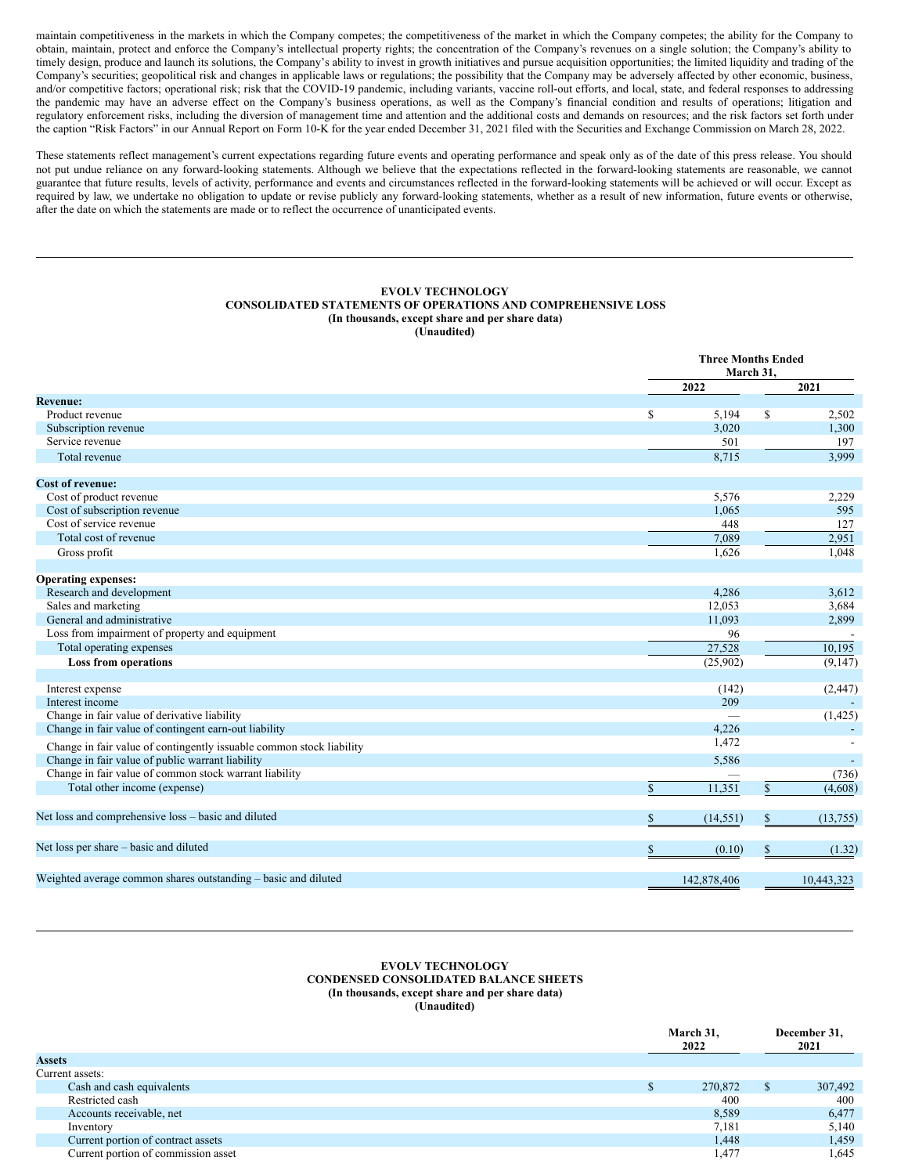maintain competitiveness in the markets in which the Company competes; the competitiveness of the market in which the Company competes; the ability for the Company to obtain, maintain, protect and enforce the Company's intellectual property rights; the concentration of the Company's revenues on a single solution; the Company's ability to timely design, produce and launch its solutions, the Company's ability to invest in growth initiatives and pursue acquisition opportunities; the limited liquidity and trading of the Company's securities; geopolitical risk and changes in applicable laws or regulations; the possibility that the Company may be adversely affected by other economic, business, and/or competitive factors; operational risk; risk that the COVID-19 pandemic, including variants, vaccine roll-out efforts, and local, state, and federal responses to addressing the pandemic may have an adverse effect on the Company's business operations, as well as the Company's financial condition and results of operations; litigation and regulatory enforcement risks, including the diversion of management time and attention and the additional costs and demands on resources; and the risk factors set forth under the caption "Risk Factors" in our Annual Report on Form 10-K for the year ended December 31, 2021 filed with the Securities and Exchange Commission on March 28, 2022.

These statements reflect management's current expectations regarding future events and operating performance and speak only as of the date of this press release. You should not put undue reliance on any forward-looking statements. Although we believe that the expectations reflected in the forward-looking statements are reasonable, we cannot guarantee that future results, levels of activity, performance and events and circumstances reflected in the forward-looking statements will be achieved or will occur. Except as required by law, we undertake no obligation to update or revise publicly any forward-looking statements, whether as a result of new information, future events or otherwise, after the date on which the statements are made or to reflect the occurrence of unanticipated events.

#### **EVOLV TECHNOLOGY CONSOLIDATED STATEMENTS OF OPERATIONS AND COMPREHENSIVE LOSS (In thousands, except share and per share data) (Unaudited)**

|                                                                      |              | <b>Three Months Ended</b><br>March 31, |
|----------------------------------------------------------------------|--------------|----------------------------------------|
|                                                                      | 2022         | 2021                                   |
| <b>Revenue:</b>                                                      |              |                                        |
| Product revenue                                                      | \$<br>5,194  | S<br>2,502                             |
| Subscription revenue                                                 | 3,020        | 1,300                                  |
| Service revenue                                                      | 501          | 197                                    |
| Total revenue                                                        | 8.715        | 3.999                                  |
| <b>Cost of revenue:</b>                                              |              |                                        |
| Cost of product revenue                                              | 5,576        | 2,229                                  |
| Cost of subscription revenue                                         | 1,065        | 595                                    |
| Cost of service revenue                                              | 448          | 127                                    |
| Total cost of revenue                                                | 7,089        | 2,951                                  |
| Gross profit                                                         | 1,626        | 1,048                                  |
|                                                                      |              |                                        |
| <b>Operating expenses:</b>                                           |              |                                        |
| Research and development                                             | 4,286        | 3,612                                  |
| Sales and marketing                                                  | 12,053       | 3,684                                  |
| General and administrative                                           | 11,093       | 2,899                                  |
| Loss from impairment of property and equipment                       | 96           |                                        |
| Total operating expenses                                             | 27,528       | 10,195                                 |
| <b>Loss from operations</b>                                          | (25,902)     | (9,147)                                |
| Interest expense                                                     | (142)        | (2, 447)                               |
| Interest income                                                      | 209          |                                        |
| Change in fair value of derivative liability                         |              | (1, 425)                               |
| Change in fair value of contingent earn-out liability                | 4,226        |                                        |
| Change in fair value of contingently issuable common stock liability | 1,472        |                                        |
| Change in fair value of public warrant liability                     | 5,586        |                                        |
| Change in fair value of common stock warrant liability               |              | (736)                                  |
| Total other income (expense)                                         | 11,351<br>\$ | $\mathbb{S}$<br>(4,608)                |
| Net loss and comprehensive loss - basic and diluted                  | (14, 551)    | (13, 755)<br>\$                        |
| Net loss per share – basic and diluted                               | (0.10)       | \$<br>(1.32)                           |
| Weighted average common shares outstanding – basic and diluted       | 142,878,406  | 10,443,323                             |
|                                                                      |              |                                        |

### **EVOLV TECHNOLOGY CONDENSED CONSOLIDATED BALANCE SHEETS (In thousands, except share and per share data) (Unaudited)**

|                                     | March 31,<br>2022 |         | December 31,<br>2021 |         |
|-------------------------------------|-------------------|---------|----------------------|---------|
| <b>Assets</b>                       |                   |         |                      |         |
| Current assets:                     |                   |         |                      |         |
| Cash and cash equivalents           |                   | 270,872 | S                    | 307,492 |
| Restricted cash                     |                   | 400     |                      | 400     |
| Accounts receivable, net            |                   | 8,589   |                      | 6,477   |
| Inventory                           |                   | 7,181   |                      | 5,140   |
| Current portion of contract assets  |                   | 1,448   |                      | 1,459   |
| Current portion of commission asset |                   | 1,477   |                      | 1,645   |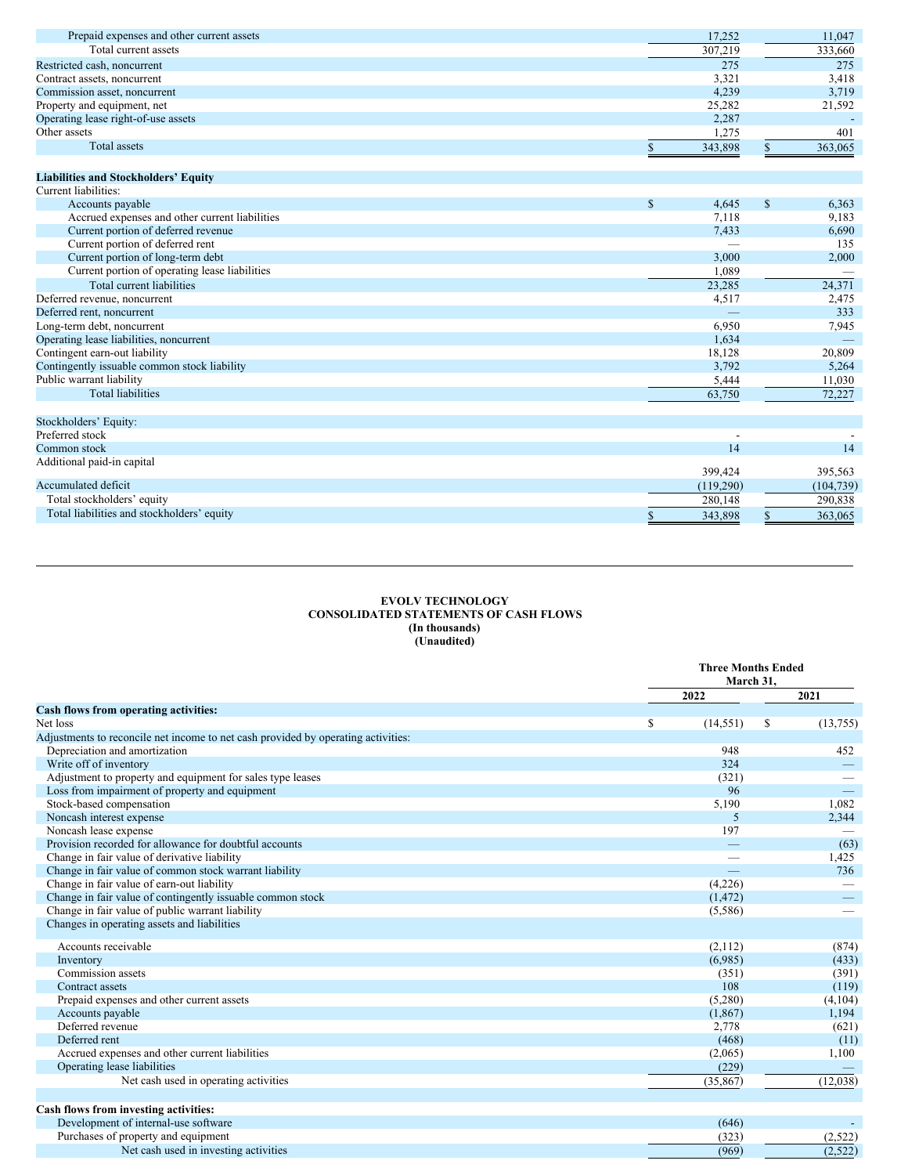| Prepaid expenses and other current assets      |              | 17.252  |              | 11.047  |
|------------------------------------------------|--------------|---------|--------------|---------|
| Total current assets                           |              | 307,219 |              | 333,660 |
| Restricted cash, noncurrent                    |              | 275     |              | 275     |
| Contract assets, noncurrent                    |              | 3,321   |              | 3,418   |
| Commission asset, noncurrent                   |              | 4,239   |              | 3,719   |
| Property and equipment, net                    |              | 25,282  |              | 21,592  |
| Operating lease right-of-use assets            |              | 2,287   |              |         |
| Other assets                                   |              | 1,275   |              | 401     |
| <b>Total assets</b>                            | \$           | 343,898 | \$           | 363,065 |
|                                                |              |         |              |         |
| <b>Liabilities and Stockholders' Equity</b>    |              |         |              |         |
| Current liabilities:                           |              |         |              |         |
| Accounts payable                               | $\mathbb{S}$ | 4.645   | $\mathbb{S}$ | 6.363   |
| Accrued expenses and other current liabilities |              | 7,118   |              | 9,183   |
| Current portion of deferred revenue            |              | 7,433   |              | 6,690   |
| Current portion of deferred rent               |              |         |              | 135     |
| Current portion of long-term debt              |              | 3,000   |              | 2,000   |
| Current portion of operating lease liabilities |              | 1,089   |              |         |
| Total current liabilities                      |              | 23,285  |              | 24,371  |
| Deferred revenue, noncurrent                   |              | 4,517   |              | 2,475   |
| Deferred rent, noncurrent                      |              |         |              | 333     |
| Long-term debt, noncurrent                     |              | 6,950   |              | 7,945   |
| Operating lease liabilities, noncurrent        |              | 1,634   |              |         |
| Contingent earn-out liability                  |              | 18,128  |              | 20,809  |
| Contingently issuable common stock liability   |              | 3,792   |              | 5,264   |
| Public warrant liability                       |              | 5,444   |              | 11,030  |
| <b>Total liabilities</b>                       |              | 63,750  |              | 72,227  |
|                                                |              |         |              |         |
| Stockholders' Equity:                          |              |         |              |         |
| Preferred stock                                |              |         |              |         |
| Common stock                                   |              | 14      |              | 14      |

| Additional paid-in capital                 |           |            |
|--------------------------------------------|-----------|------------|
|                                            | 399.424   | 395.563    |
| Accumulated deficit                        | (119.290) | (104, 739) |
| Total stockholders' equity                 | 280.148   | 290,838    |
| Total liabilities and stockholders' equity | 343.898   | 363,065    |

# **EVOLV TECHNOLOGY CONSOLIDATED STATEMENTS OF CASH FLOWS (In thousands) (Unaudited)**

|                                                                                   | <b>Three Months Ended</b><br>March 31, |   |                               |
|-----------------------------------------------------------------------------------|----------------------------------------|---|-------------------------------|
|                                                                                   | 2022                                   |   | 2021                          |
| Cash flows from operating activities:                                             |                                        |   |                               |
| Net loss                                                                          | \$<br>(14, 551)                        | S | (13,755)                      |
| Adjustments to reconcile net income to net cash provided by operating activities: |                                        |   |                               |
| Depreciation and amortization                                                     | 948                                    |   | 452                           |
| Write off of inventory                                                            | 324                                    |   |                               |
| Adjustment to property and equipment for sales type leases                        | (321)                                  |   |                               |
| Loss from impairment of property and equipment                                    | 96                                     |   |                               |
| Stock-based compensation                                                          | 5,190                                  |   | 1.082                         |
| Noncash interest expense                                                          | 5                                      |   | 2,344                         |
| Noncash lease expense                                                             | 197                                    |   |                               |
| Provision recorded for allowance for doubtful accounts                            |                                        |   | (63)                          |
| Change in fair value of derivative liability                                      | -                                      |   | 1,425                         |
| Change in fair value of common stock warrant liability                            |                                        |   | 736                           |
| Change in fair value of earn-out liability                                        | (4,226)                                |   |                               |
| Change in fair value of contingently issuable common stock                        | (1, 472)                               |   |                               |
| Change in fair value of public warrant liability                                  | (5,586)                                |   | $\overbrace{\phantom{12332}}$ |
| Changes in operating assets and liabilities                                       |                                        |   |                               |
| Accounts receivable                                                               | (2,112)                                |   | (874)                         |
| Inventory                                                                         | (6,985)                                |   | (433)                         |
| Commission assets                                                                 | (351)                                  |   | (391)                         |
| Contract assets                                                                   | 108                                    |   | (119)                         |
| Prepaid expenses and other current assets                                         | (5,280)                                |   | (4,104)                       |
| Accounts payable                                                                  | (1, 867)                               |   | 1,194                         |
| Deferred revenue                                                                  | 2,778                                  |   | (621)                         |
| Deferred rent                                                                     | (468)                                  |   | (11)                          |
| Accrued expenses and other current liabilities                                    | (2,065)                                |   | 1,100                         |
| Operating lease liabilities                                                       | (229)                                  |   |                               |
| Net cash used in operating activities                                             | (35, 867)                              |   | (12,038)                      |
| Cash flows from investing activities:                                             |                                        |   |                               |
| Development of internal-use software                                              | (646)                                  |   |                               |
| Purchases of property and equipment                                               | (323)                                  |   | (2,522)                       |
| Net cash used in investing activities                                             | (969)                                  |   | (2,522)                       |
|                                                                                   |                                        |   |                               |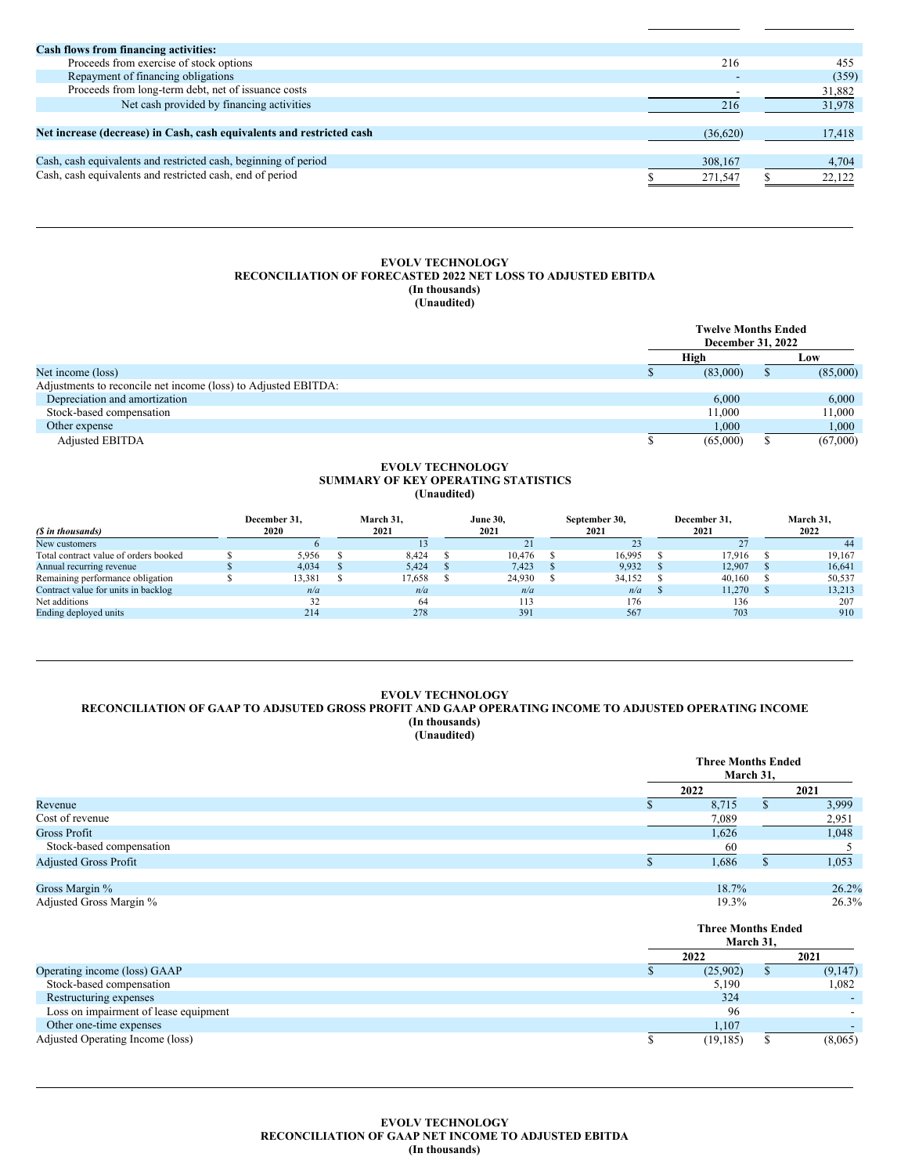| <b>Cash flows from financing activities:</b>                          |          |        |
|-----------------------------------------------------------------------|----------|--------|
| Proceeds from exercise of stock options                               | 216      | 455    |
| Repayment of financing obligations                                    |          | (359)  |
| Proceeds from long-term debt, net of issuance costs                   |          | 31,882 |
| Net cash provided by financing activities                             | 216      | 31,978 |
|                                                                       |          |        |
| Net increase (decrease) in Cash, cash equivalents and restricted cash | (36,620) | 17,418 |
|                                                                       |          |        |
| Cash, cash equivalents and restricted cash, beginning of period       | 308,167  | 4,704  |
| Cash, cash equivalents and restricted cash, end of period             | 271,547  | 22.122 |
|                                                                       |          |        |

## **EVOLV TECHNOLOGY RECONCILIATION OF FORECASTED 2022 NET LOSS TO ADJUSTED EBITDA (In thousands) (Unaudited)**

|                                                                | <b>Twelve Months Ended</b><br><b>December 31, 2022</b> |  |          |  |
|----------------------------------------------------------------|--------------------------------------------------------|--|----------|--|
|                                                                | High                                                   |  | Low      |  |
| Net income (loss)                                              | (83,000)                                               |  | (85,000) |  |
| Adjustments to reconcile net income (loss) to Adjusted EBITDA: |                                                        |  |          |  |
| Depreciation and amortization                                  | 6.000                                                  |  | 6.000    |  |
| Stock-based compensation                                       | 11.000                                                 |  | 11.000   |  |
| Other expense                                                  | 1,000                                                  |  | 1,000    |  |
| <b>Adjusted EBITDA</b>                                         | (65,000)                                               |  | (67,000) |  |

# **EVOLV TECHNOLOGY SUMMARY OF KEY OPERATING STATISTICS (Unaudited)**

| (S in thousands)                      | December 31.<br>2020 | March 31.<br>2021 | <b>June 30.</b><br>2021 | September 30,<br>2021 | December 31.<br>2021 | March 31,<br>2022 |
|---------------------------------------|----------------------|-------------------|-------------------------|-----------------------|----------------------|-------------------|
| New customers                         |                      |                   | 21                      | 23                    | 27                   | 44                |
| Total contract value of orders booked | 5.956                | 8.424             | 10,476                  | 16.995                | 7.916                | 19.167            |
| Annual recurring revenue              | 4.034                | 5,424             | 7.423                   | 9.932                 | 12.907               | 16,641            |
| Remaining performance obligation      | 13.381               | 17.658            | 24,930                  | 34.152                | 40.160               | 50.537            |
| Contract value for units in backlog   | n/a                  | n/a               | n/a                     | n/a                   | 11.270               | 13.213            |
| Net additions                         | 32                   | 64                | 113                     | 176                   | 136                  | 207               |
| Ending deployed units                 | 214                  | 278               | 391                     | 567                   | 703                  | 910               |

# **EVOLV TECHNOLOGY RECONCILIATION OF GAAP TO ADJSUTED GROSS PROFIT AND GAAP OPERATING INCOME TO ADJUSTED OPERATING INCOME (In thousands) (Unaudited)**

|                              |      | <b>Three Months Ended</b><br>March 31, |     |       |
|------------------------------|------|----------------------------------------|-----|-------|
|                              | 2022 |                                        |     | 2021  |
| Revenue                      |      | 8,715                                  | ۰D. | 3,999 |
| Cost of revenue              |      | 7,089                                  |     | 2,951 |
| Gross Profit                 |      | 1,626                                  |     | 1,048 |
| Stock-based compensation     |      | 60                                     |     |       |
| <b>Adjusted Gross Profit</b> |      | 1,686                                  |     | 1,053 |
|                              |      |                                        |     |       |
| Gross Margin %               |      | 18.7%                                  |     | 26.2% |
| Adjusted Gross Margin %      |      | 19.3%                                  |     | 26.3% |

|                                       | <b>Three Months Ended</b><br>March 31, |  |         |
|---------------------------------------|----------------------------------------|--|---------|
|                                       | 2022                                   |  | 2021    |
| Operating income (loss) GAAP          | (25,902)                               |  | (9,147) |
| Stock-based compensation              | 5,190                                  |  | 1,082   |
| Restructuring expenses                | 324                                    |  |         |
| Loss on impairment of lease equipment | 96                                     |  |         |
| Other one-time expenses               | 1,107                                  |  |         |
| Adjusted Operating Income (loss)      | (19, 185)                              |  | (8,065) |